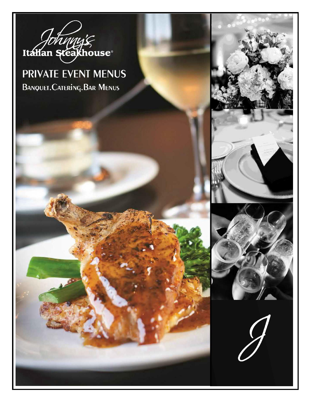

### **PRIVATE EVENT MENUS** BANQUET. CATERING. BAR MENUS



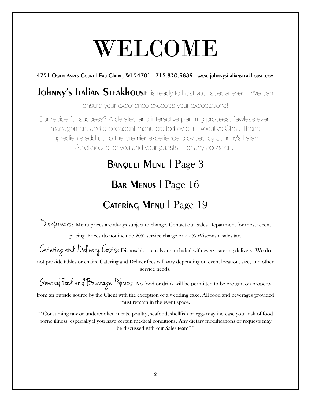# WELCOME

### 4751 Owen Ayres Court | Eau Claire, WI 54701 | 715.830.9889 | www.johnnysitaliansteakhouse.com

### Johnny's Italian Steakhouse is ready to host your special event. We can

ensure your experience exceeds your expectations!

Our recipe for success? A detailed and interactive planning process, flawless event management and a decadent menu crafted by our Executive Chef. These ingredients add up to the premier experience provided by Johnny's Italian Steakhouse for you and your guests—for any occasion.

### BANQUET MENU | Page 3

### BAR MENUS | Page 16

## CATERING MENU | Page 19

Disclaimers: Menu prices are always subject to change. Contact our Sales Department for most recent

pricing. Prices do not include 20% service charge or 5.5% Wisconsin sales tax.

Catering and Delivery Costs: Disposable utensils are included with every catering delivery. We do not provide tables or chairs. Catering and Deliver fees will vary depending on event location, size, and other service needs.

General Food and Beverage Policies: No food or drink will be permitted to be brought on property from an outside source by the Client with the exception of a wedding cake. All food and beverages provided

must remain in the event space.

\*\*Consuming raw or undercooked meats, poultry, seafood, shellfish or eggs may increase your risk of food borne illness, especially if you have certain medical conditions. Any dietary modifications or requests may be discussed with our Sales team\*\*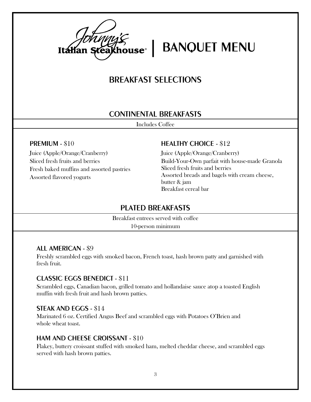

Italian Steakhouse<sup>®</sup> | BANQUET MENU

### BREAKFAST SELECTIONS

#### CONTINENTAL BREAKFASTS

Includes Coffee

#### PREMIUM - \$10

Juice (Apple/Orange/Cranberry) Sliced fresh fruits and berries Fresh baked muffins and assorted pastries Assorted flavored yogurts

#### HEALTHY CHOICE - \$12

Juice (Apple/Orange/Cranberry) Build-Your-Own parfait with house-made Granola Sliced fresh fruits and berries Assorted breads and bagels with cream cheese, butter & jam Breakfast cereal bar

#### PLATED BREAKFASTS

Breakfast entrees served with coffee 10-person minimum

#### ALL AMERICAN - \$9

Freshly scrambled eggs with smoked bacon, French toast, hash brown patty and garnished with fresh fruit.

#### CLASSIC EGGS BENEDICT - \$11

Scrambled eggs, Canadian bacon, grilled tomato and hollandaise sauce atop a toasted English muffin with fresh fruit and hash brown patties.

#### STEAK AND EGGS - \$14

Marinated 6 oz. Certified Angus Beef and scrambled eggs with Potatoes O'Brien and whole wheat toast.

#### HAM AND CHEESE CROISSANT - \$10

Flakey, buttery croissant stuffed with smoked ham, melted cheddar cheese, and scrambled eggs served with hash brown patties.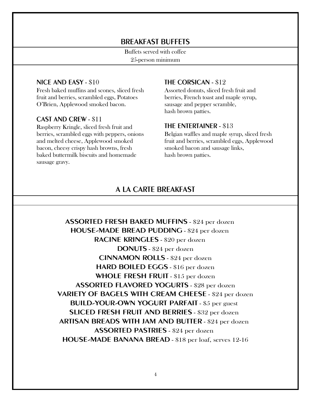#### BREAKFAST BUFFETS

Buffets served with coffee 25-person minimum

#### NICE AND EASY - \$10

Fresh baked muffins and scones, sliced fresh fruit and berries, scrambled eggs, Potatoes O'Brien, Applewood smoked bacon.

#### CAST AND CREW - \$11

Raspberry Kringle, sliced fresh fruit and berries, scrambled eggs with peppers, onions and melted cheese, Applewood smoked bacon, cheesy crispy hash browns, fresh baked buttermilk biscuits and homemade sausage gravy.

#### THE CORSICAN - \$12

Assorted donuts, sliced fresh fruit and berries, French toast and maple syrup, sausage and pepper scramble, hash brown patties.

#### THE ENTERTAINER - \$13

Belgian waffles and maple syrup, sliced fresh fruit and berries, scrambled eggs, Applewood smoked bacon and sausage links, hash brown patties.

#### A LA CARTE BREAKFAST

ASSORTED FRESH BAKED MUFFINS - \$24 per dozen HOUSE-MADE BREAD PUDDING - \$24 per dozen RACINE KRINGLES - \$20 per dozen DONUTS - \$24 per dozen CINNAMON ROLLS - \$24 per dozen HARD BOILED EGGS - \$16 per dozen WHOLE FRESH FRUIT - \$15 per dozen ASSORTED FLAVORED YOGURTS - \$28 per dozen VARIETY OF BAGELS WITH CREAM CHEESE - \$24 per dozen BUILD-YOUR-OWN YOGURT PARFAIT - \$5 per guest SLICED FRESH FRUIT AND BERRIES - \$32 per dozen ARTISAN BREADS WITH JAM AND BUTTER - \$24 per dozen ASSORTED PASTRIES - \$24 per dozen HOUSE-MADE BANANA BREAD - \$18 per loaf, serves 12-16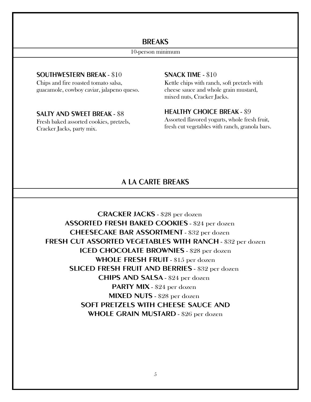#### **BREAKS**

#### 10-person minimum

#### SOUTHWESTERN BREAK - \$10

Chips and fire roasted tomato salsa, guacamole, cowboy caviar, jalapeno queso.

#### SALTY AND SWEET BREAK - \$8

Fresh baked assorted cookies, pretzels, Cracker Jacks, party mix.

#### SNACK TIME - \$10

Kettle chips with ranch, soft pretzels with cheese sauce and whole grain mustard, mixed nuts, Cracker Jacks.

#### HEALTHY CHOICE BREAK - \$9

Assorted flavored yogurts, whole fresh fruit, fresh cut vegetables with ranch, granola bars.

#### A LA CARTE BREAKS

CRACKER JACKS - \$28 per dozen ASSORTED FRESH BAKED COOKIES - \$24 per dozen CHEESECAKE BAR ASSORTMENT - \$32 per dozen FRESH CUT ASSORTED VEGETABLES WITH RANCH - \$32 per dozen ICED CHOCOLATE BROWNIES - \$28 per dozen WHOLE FRESH FRUIT - \$15 per dozen SLICED FRESH FRUIT AND BERRIES - \$32 per dozen CHIPS AND SALSA - \$24 per dozen PARTY MIX - \$24 per dozen MIXED NUTS - \$28 per dozen SOFT PRETZELS WITH CHEESE SAUCE AND WHOLE GRAIN MUSTARD - \$26 per dozen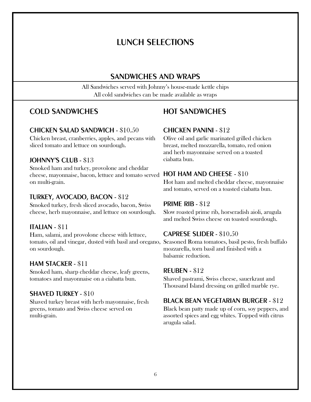### LUNCH SELECTIONS

### SANDWICHES AND WRAPS

All Sandwiches served with Johnny's house-made kettle chips All cold sandwiches can be made available as wraps

### COLD SANDWICHES

#### CHICKEN SALAD SANDWICH - \$10.50

Chicken breast, cranberries, apples, and pecans with sliced tomato and lettuce on sourdough.

#### JOHNNY'S CLUB - \$13

Smoked ham and turkey, provolone and cheddar cheese, mayonnaise, bacon, lettuce and tomato served HOT HAM AND CHEESE - \$10 on multi-grain.

#### TURKEY, AVOCADO, BACON - \$12

Smoked turkey, fresh sliced avocado, bacon, Swiss cheese, herb mayonnaise, and lettuce on sourdough.

#### ITALIAN - \$11

Ham, salami, and provolone cheese with lettuce, tomato, oil and vinegar, dusted with basil and oregano, Seasoned Roma tomatoes, basil pesto, fresh buffalo on sourdough.

#### HAM STACKER - \$11

Smoked ham, sharp cheddar cheese, leafy greens, tomatoes and mayonnaise on a ciabatta bun.

#### SHAVED TURKEY - \$10

Shaved turkey breast with herb mayonnaise, fresh greens, tomato and Swiss cheese served on multi-grain.

### HOT SANDWICHES

#### CHICKEN PANINI - \$12

Olive oil and garlic marinated grilled chicken breast, melted mozzarella, tomato, red onion and herb mayonnaise served on a toasted ciabatta bun.

Hot ham and melted cheddar cheese, mayonnaise and tomato, served on a toasted ciabatta bun.

#### PRIME RIB - \$12

Slow roasted prime rib, horseradish aioli, arugula and melted Swiss cheese on toasted sourdough.

#### CAPRESE SLIDER - \$10.50

mozzarella, torn basil and finished with a balsamic reduction.

#### REUBEN - \$12

Shaved pastrami, Swiss cheese, sauerkraut and Thousand Island dressing on grilled marble rye.

#### BLACK BEAN VEGETARIAN BURGER - \$12

Black bean patty made up of corn, soy peppers, and assorted spices and egg whites. Topped with citrus arugula salad.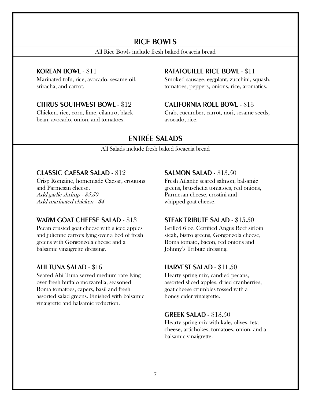#### RICE BOWLS

All Rice Bowls include fresh baked focaccia bread

#### KOREAN BOWL - \$11

Marinated tofu, rice, avocado, sesame oil, sriracha, and carrot.

#### CITRUS SOUTHWEST BOWL - \$12

Chicken, rice, corn, lime, cilantro, black bean, avocado, onion, and tomatoes.

#### RATATOUILLE RICE BOWL - \$11

Smoked sausage, eggplant, zucchini, squash, tomatoes, peppers, onions, rice, aromatics.

#### CALIFORNIA ROLL BOWL - \$13

Crab, cucumber, carrot, nori, sesame seeds, avocado, rice.

### ENTRÉE SALADS

All Salads include fresh baked focaccia bread

#### CLASSIC CAESAR SALAD - \$12

Crisp Romaine, homemade Caesar, croutons and Parmesan cheese. Add garlic shrimp - \$5.50 Add marinated chicken - \$4

#### WARM GOAT CHEESE SALAD - \$13

Pecan crusted goat cheese with sliced apples and julienne carrots lying over a bed of fresh greens with Gorgonzola cheese and a balsamic vinaigrette dressing.

#### AHI TUNA SALAD - \$16

Seared Ahi Tuna served medium rare lying over fresh buffalo mozzarella, seasoned Roma tomatoes, capers, basil and fresh assorted salad greens. Finished with balsamic vinaigrette and balsamic reduction.

#### SALMON SALAD - \$13.50

Fresh Atlantic seared salmon, balsamic greens, bruschetta tomatoes, red onions, Parmesan cheese, crostini and whipped goat cheese.

#### STEAK TRIBUTE SALAD - \$15.50

Grilled 6 oz. Certified Angus Beef sirloin steak, bistro greens, Gorgonzola cheese, Roma tomato, bacon, red onions and Johnny's Tribute dressing.

#### HARVEST SALAD - \$11.50

Hearty spring mix, candied pecans, assorted sliced apples, dried cranberries, goat cheese crumbles tossed with a honey cider vinaigrette.

#### GREEK SALAD - \$13.50

Hearty spring mix with kale, olives, feta cheese, artichokes, tomatoes, onion, and a balsamic vinaigrette.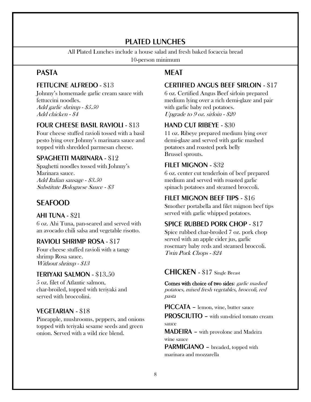### PLATED LUNCHES

All Plated Lunches include a house salad and fresh baked focaccia bread

10-person minimum

### PASTA

#### FETTUCINE ALFREDO - \$13

Johnny's homemade garlic cream sauce with fettuccini noodles. Add garlic shrimp - \$5.50 Add chicken - \$4

#### FOUR CHEESE BASIL RAVIOLI - \$13

Four cheese stuffed ravioli tossed with a basil pesto lying over Johnny's marinara sauce and topped with shredded parmesan cheese.

#### SPAGHETTI MARINARA - \$12

Spaghetti noodles tossed with Johnny's Marinara sauce. Add Italian sausage - \$3.50 Substitute Bolognese Sauce - \$3

### SEAFOOD

#### AHI TUNA - \$21

6 oz. Ahi Tuna, pan-seared and served with an avocado chili salsa and vegetable risotto.

#### RAVIOLI SHRIMP ROSA - \$17

Four cheese stuffed ravioli with a tangy shrimp Rosa sauce. Without shrimp - \$13

#### TERIYAKI SALMON - \$13.50

5 oz. filet of Atlantic salmon, char-broiled, topped with teriyaki and served with broccolini.

#### VEGETARIAN - \$18

Pineapple, mushrooms, peppers, and onions topped with teriyaki sesame seeds and green onion. Served with a wild rice blend.

### MEAT

#### CERTIFIED ANGUS BEEF SIRLOIN - \$17

6 oz. Certified Angus Beef sirloin prepared medium lying over a rich demi-glaze and pair with garlic baby red potatoes. Upgrade to 9 oz. sirloin - \$20

#### HAND CUT RIBEYE - \$30

11 oz. Ribeye prepared medium lying over demi-glaze and served with garlic mashed potatoes and roasted pork belly Brussel sprouts.

#### FILET MIGNON - \$32

6 oz. center cut tenderloin of beef prepared medium and served with roasted garlic spinach potatoes and steamed broccoli.

### FILET MIGNON BEEF TIPS - \$16

Smother portabella and filet mignon beef tips served with garlic whipped potatoes.

#### SPICE RUBBED PORK CHOP - \$17

Spice rubbed char-broiled 7 oz. pork chop served with an apple cider jus, garlic rosemary baby reds and steamed broccoli. Twin Pork Chops - \$24

#### CHICKEN - \$17 Single Breast

Comes with choice of two sides: garlic mashed potatoes, mixed fresh vegetables, broccoli, red pasta

PICCATA – lemon, wine, butter sauce

PROSCIUTTO – with sun-dried tomato cream sauce

MADEIRA – with provolone and Madeira wine sauce

PARMIGIANO - breaded, topped with marinara and mozzarella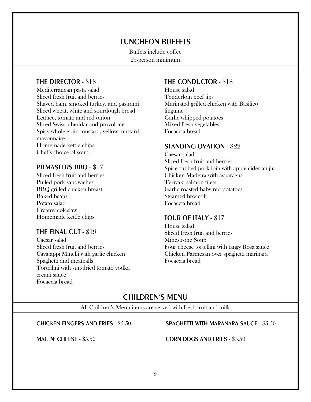### LUNCHEON BUFFETS

Buffets include coffee 25-person minimum

#### THE DIRECTOR - \$18

Mediterranean pasta salad Sliced fresh fruit and berries Shaved ham, smoked turkey, and pastrami Sliced wheat, white and sourdough bread Lettuce, tomato and red onion Sliced Swiss, cheddar and provolone Spicy whole grain mustard, yellow mustard, mayonnaise Homemade kettle chips Chef's choice of soup

#### PITMASTERS BBQ - \$17

Sliced fresh fruit and berries Pulled pork sandwiches BBQ grilled chicken breast Baked beans Potato salad Creamy coleslaw Homemade kettle chips

#### THE FINAL CUT - \$19

Caesar salad Sliced fresh fruit and berries Cavatappi Minelli with garlic chicken Spaghetti and meatballs Tortellini with sun-dried tomato vodka cream sauce Focaccia bread

#### THE CONDUCTOR - \$18

House salad Tenderloin beef tips Marinated grilled chicken with Basilico linguine Garlic whipped potatoes Mixed fresh vegetables Focaccia bread

#### STANDING OVATION - \$22

Caesar salad Sliced fresh fruit and berries Spice rubbed pork loin with apple cider au jus Chicken Madeira with asparagus Teriyaki salmon filets Garlic roasted baby red potatoes Steamed broccoli Focaccia bread

#### TOUR OF ITALY - \$17

House salad Sliced fresh fruit and berries Minestrone Soup Four cheese tortellini with tangy Rosa sauce Chicken Parmesan over spaghetti marinara Focaccia bread

#### CHILDREN'S MENU

All Children's Menu items are served with fresh fruit and milk

#### CHICKEN FINGERS AND FRIES - \$5.50

MAC N' CHEESE - \$5.50

#### SPAGHETTI WITH MARANARA SAUCE - \$5.50

CORN DOGS AND FRIES - \$5.50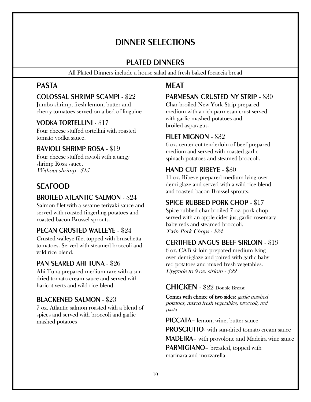### DINNER SELECTIONS

#### PLATED DINNERS

All Plated Dinners include a house salad and fresh baked focaccia bread

#### PASTA

#### COLOSSAL SHRIMP SCAMPI - \$22

Jumbo shrimp, fresh lemon, butter and cherry tomatoes served on a bed of linguine

#### VODKA TORTELLINI - \$17

Four cheese stuffed tortellini with roasted tomato vodka sauce.

#### RAVIOLI SHRIMP ROSA - \$19

Four cheese stuffed ravioli with a tangy shrimp Rosa sauce. Without shrimp - \$15

### SEAFOOD

#### BROILED ATLANTIC SALMON - \$24

Salmon filet with a sesame teriyaki sauce and served with roasted fingerling potatoes and roasted bacon Brussel sprouts.

#### PECAN CRUSTED WALLEYE - \$24

Crusted walleye filet topped with bruschetta tomatoes. Served with steamed broccoli and wild rice blend.

#### PAN SEARED AHI TUNA - \$26

Ahi Tuna prepared medium-rare with a surdried tomato cream sauce and served with haricot verts and wild rice blend.

#### BLACKENED SALMON - \$23

7 oz. Atlantic salmon roasted with a blend of spices and served with broccoli and garlic mashed potatoes

### **MFAT**

#### PARMESAN CRUSTED NY STRIP - \$30

Char-broiled New York Strip prepared medium with a rich parmesan crust served with garlic mashed potatoes and broiled asparagus.

#### FILET MIGNON - \$32

6 oz. center cut tenderloin of beef prepared medium and served with roasted garlic spinach potatoes and steamed broccoli.

#### HAND CUT RIBEYE - \$30

11 oz. Ribeye prepared medium lying over demi-glaze and served with a wild rice blend and roasted bacon Brussel sprouts.

#### SPICE RUBBED PORK CHOP - \$17

Spice rubbed char-broiled 7 oz. pork chop served with an apple cider jus, garlic rosemary baby reds and steamed broccoli. Twin Pork Chops - \$24

#### CERTIFIED ANGUS BEEF SIRLOIN - \$19

6 oz. CAB sirloin prepared medium lying over demi-glaze and paired with garlic baby red potatoes and mixed fresh vegetables. Upgrade to 9 oz. sirloin - \$22

#### CHICKEN - \$22 Double Breast

Comes with choice of two sides: garlic mashed potatoes, mixed fresh vegetables, broccoli, red pasta

PICCATA– lemon, wine, butter sauce

PROSCIUTTO- with sun-dried tomato cream sauce MADEIRA– with provolone and Madeira wine sauce PARMIGIANO– breaded, topped with

marinara and mozzarella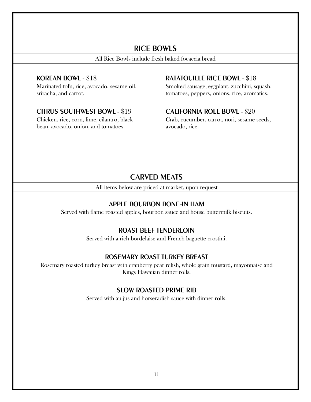#### RICE BOWLS

All Rice Bowls include fresh baked focaccia bread

#### KOREAN BOWL - \$18

Marinated tofu, rice, avocado, sesame oil, sriracha, and carrot.

#### CITRUS SOUTHWEST BOWL - \$19

Chicken, rice, corn, lime, cilantro, black bean, avocado, onion, and tomatoes.

#### RATATOUILLE RICE BOWL - \$18

Smoked sausage, eggplant, zucchini, squash, tomatoes, peppers, onions, rice, aromatics.

#### CALIFORNIA ROLL BOWL - \$20

Crab, cucumber, carrot, nori, sesame seeds, avocado, rice.

#### CARVED MEATS

All items below are priced at market, upon request

#### APPLE BOURBON BONE-IN HAM

Served with flame roasted apples, bourbon sauce and house buttermilk biscuits.

#### ROAST BEEF TENDERLOIN

Served with a rich bordelaise and French baguette crostini.

#### ROSEMARY ROAST TURKEY BREAST

Rosemary roasted turkey breast with cranberry pear relish, whole grain mustard, mayonnaise and Kings Hawaiian dinner rolls.

#### SLOW ROASTED PRIME RIB

Served with au jus and horseradish sauce with dinner rolls.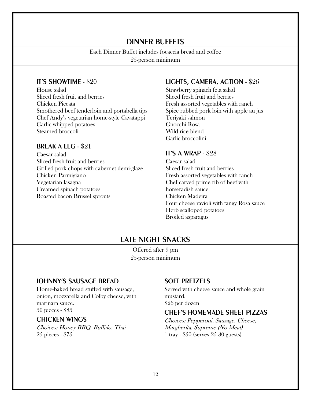#### DINNER BUFFETS

#### Each Dinner Buffet includes focaccia bread and coffee

25-person minimum

#### IT'S SHOWTIME - \$20

House salad Sliced fresh fruit and berries Chicken Piccata Smothered beef tenderloin and portabella tips Chef Andy's vegetarian home-style Cavatappi Garlic whipped potatoes Steamed broccoli

#### BREAK A LEG - \$21

Caesar salad Sliced fresh fruit and berries Grilled pork chops with cabernet demi-glaze Chicken Parmigiano Vegetarian lasagna Creamed spinach potatoes Roasted bacon Brussel sprouts

#### LIGHTS, CAMERA, ACTION - \$26

Strawberry spinach feta salad Sliced fresh fruit and berries Fresh assorted vegetables with ranch Spice rubbed pork loin with apple au jus Teriyaki salmon Gnocchi Rosa Wild rice blend Garlic broccolini

#### IT'S A WRAP - \$28

Caesar salad Sliced fresh fruit and berries Fresh assorted vegetables with ranch Chef carved prime rib of beef with horseradish sauce Chicken Madeira Four cheese ravioli with tangy Rosa sauce Herb scalloped potatoes Broiled asparagus

### LATE NIGHT SNACKS

Offered after 9 pm 25-person minimum

#### JOHNNY'S SAUSAGE BREAD

Home-baked bread stuffed with sausage, onion, mozzarella and Colby cheese, with marinara sauce. 50 pieces - \$85

#### CHICKEN WINGS

Choices: Honey BBQ, Buffalo, Thai 25 pieces - \$75

#### SOFT PRETZELS

Served with cheese sauce and whole grain mustard. \$26 per dozen

#### CHEF'S HOMEMADE SHEET PIZZAS

Choices: Pepperoni, Sausage, Cheese, Margherita, Supreme (No Meat) 1 tray - \$50 (serves 25-30 guests)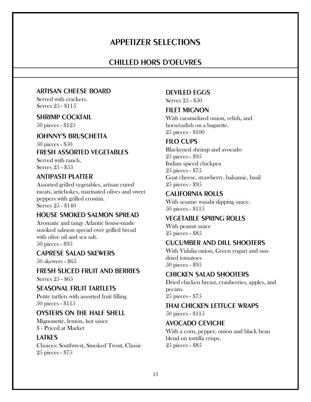### APPETIZER SELECTIONS

#### CHILLED HORS D'OEUVRES

#### ARTISAN CHEESE BOARD

Served with crackers. Serves 25 - \$115

#### SHRIMP COCKTAIL

50 pieces - \$125

#### JOHNNY'S BRUSCHETTA

50 pieces - \$50

#### FRESH ASSORTED VEGETABLES

Served with ranch. Serves 25 - \$55

#### ANTIPASTI PLATTER

Assorted grilled vegetables, artisan cured meats, artichokes, marinated olives and sweet peppers with grilled crostini. Serves 25 - \$140

#### HOUSE SMOKED SALMON SPREAD

Aromatic and tangy Atlantic house-made smoked salmon spread over grilled bread with olive oil and sea salt. 50 pieces - \$95

#### CAPRESE SALAD SKEWERS

50 skewers - \$65

#### FRESH SLICED FRUIT AND BERRIES Serves 25 - \$65

SEASONAL FRUIT TARTLETS

Petite tartlets with assorted fruit filling 50 pieces - \$115

#### OYSTERS ON THE HALF SHELL

Mignonette, lemon, hot sauce \$ - Priced at Market

#### LATKES

Choices: Southwest, Smoked Trout, Classic 25 pieces - \$75

#### DEVILED EGGS

Serves 25 - \$50

#### **FILET MIGNON**

With caramelized onion, relish, and horseradish on a baguette. 25 pieces - \$100

#### FILO CUPS

Blackened shrimp and avocado 25 pieces - \$95 Indian spiced chickpea 25 pieces - \$75 Goat cheese, strawberry, balsamic, basil 25 pieces - \$95

#### CALIFORNIA ROLLS

With sesame wasabi dipping sauce. 50 pieces - \$115

#### VEGETABLE SPRING ROLLS

With peanut sauce 25 pieces - \$85

#### CUCUMBER AND DILL SHOOTERS

With Vidalia onion, Green yogurt and sundried tomatoes 50 pieces - \$95

#### CHICKEN SALAD SHOOTERS

Dried chicken breast, cranberries, apples, and pecans. 25 pieces - \$75

#### THAI CHICKEN LETTUCE WRAPS

50 pieces - \$115

#### AVOCADO CEVICHE

With a corn, pepper, onion and black bean blend on tortilla crisps. 25 pieces - \$85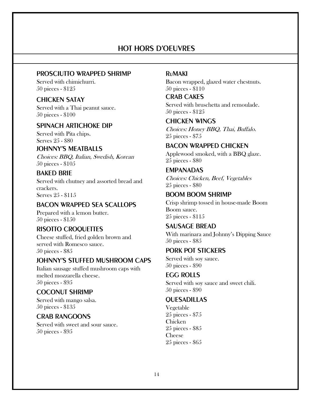### HOT HORS D'OEUVRES

#### PROSCIUTTO WRAPPED SHRIMP

Served with chimichurri. 50 pieces - \$125

#### CHICKEN SATAY

Served with a Thai peanut sauce. 50 pieces - \$100

#### SPINACH ARTICHOKE DIP

Served with Pita chips. Serves 25 - \$80

#### JOHNNY'S MEATBALLS

Choices: BBQ, Italian, Swedish, Korean 50 pieces - \$105

#### BAKED BRIE

Served with chutney and assorted bread and crackers. Serves 25 - \$115

#### BACON WRAPPED SEA SCALLOPS

Prepared with a lemon butter. 50 pieces - \$150

#### RISOTTO CROQUETTES

Cheese stuffed, fried golden brown and served with Romesco sauce. 50 pieces - \$85

#### JOHNNY'S STUFFED MUSHROOM CAPS

Italian sausage stuffed mushroom caps with melted mozzarella cheese. 50 pieces - \$95

#### COCONUT SHRIMP

Served with mango salsa. 50 pieces - \$135

#### CRAB RANGOONS

Served with sweet and sour sauce. 50 pieces - \$95

#### RuMAKI

Bacon wrapped, glazed water chestnuts. 50 pieces - \$110

#### CRAB CAKES

Served with bruschetta and remoulade. 50 pieces - \$125

CHICKEN WINGS Choices: Honey BBQ, Thai, Buffalo. 25 pieces - \$75

#### BACON WRAPPED CHICKEN

Applewood smoked, with a BBQ glaze. 25 pieces - \$80

#### EMPANADAS

Choices: Chicken, Beef, Vegetables 25 pieces - \$80

#### BOOM BOOM SHRIMP

Crisp shrimp tossed in house-made Boom Boom sauce. 25 pieces - \$115

#### SAUSAGE BREAD

With marinara and Johnny's Dipping Sauce 50 pieces - \$85

#### PORK POT STICKERS

Served with soy sauce. 50 pieces - \$90

#### EGG ROLLS

Served with soy sauce and sweet chili. 50 pieces - \$90

#### **OUESADILLAS**

Vegetable 25 pieces - \$75 Chicken 25 pieces - \$85 Cheese 25 pieces - \$65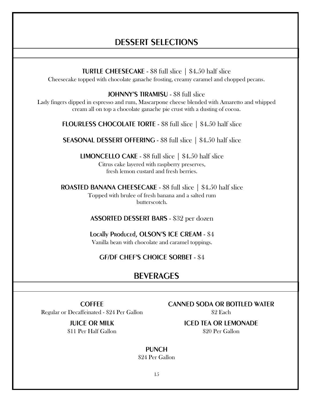### DESSERT SELECTIONS

TURTLE CHEESECAKE - \$8 full slice | \$4.50 half slice Cheesecake topped with chocolate ganache frosting, creamy caramel and chopped pecans.

JOHNNY'S TIRAMISU - \$8 full slice

Lady fingers dipped in espresso and rum, Mascarpone cheese blended with Amaretto and whipped cream all on top a chocolate ganache pie crust with a dusting of cocoa.

FLOURLESS CHOCOLATE TORTE - \$8 full slice | \$4.50 half slice

SEASONAL DESSERT OFFERING - \$8 full slice | \$4.50 half slice

LIMONCELLO CAKE - \$8 full slice | \$4.50 half slice Citrus cake layered with raspberry preserves, fresh lemon custard and fresh berries.

ROASTED BANANA CHEESECAKE - \$8 full slice | \$4.50 half slice Topped with brulee of fresh banana and a salted rum butterscotch.

ASSORTED DESSERT BARS - \$32 per dozen

Locally Produced, OLSON'S ICE CREAM - \$4 Vanilla bean with chocolate and caramel toppings.

GF/DF CHEF'S CHOICE SORBET - \$4

### **BEVERAGES**

COFFEE

Regular or Decaffeinated - \$24 Per Gallon

JUICE OR MILK \$11 Per Half Gallon CANNED SODA OR BOTTLED WATER

\$2 Each

ICED TEA OR LEMONADE \$20 Per Gallon

**PUNCH** \$24 Per Gallon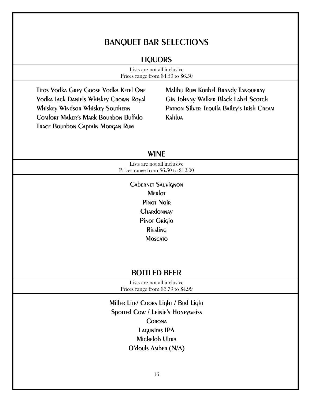### BANQUET BAR SELECTIONS

#### LIQUORS

| Lists are not all inclusive.       |  |
|------------------------------------|--|
| Prices range from \$4.50 to \$6.50 |  |

Titos Vodka Grey Goose Vodka Ketel One Vodka Jack Daniels Whiskey Crown Royal Whiskey Windsor Whiskey Southern Comfort Maker's Mark Bourbon Buffalo Trace Bourbon Captain Morgan Rum

Malibu Rum Korbel Brandy Tanqueray Gin Johnny Walker Black Label Scorch PATRON SILVER TEQUILA BAILEY'S IRISH CREAM Kahlua

#### WINE

Lists are not all inclusive Prices range from \$6.50 to \$12.00

> Cabernet Sauvignon **MERIOT** Pinot Noir **CHARdONNAY** Pinot Grigio Riesling **MOSCATO**

#### BOTTLED BEER

Lists are not all inclusive Prices range from \$3.79 to \$4.99

Miller Lite/ Coors Light / Bud Light Spotted Cow / Leinie's Honeyweiss **CORONA** Lagunitas IPA Michelob Ultra O'douls Amber (N/A)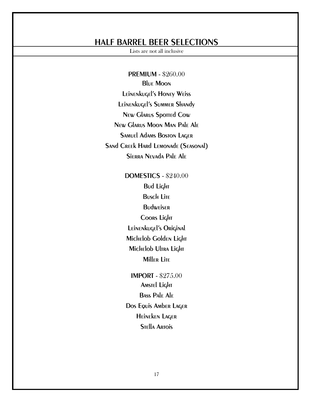### HALF BARREL BEER SELECTIONS

Lists are not all inclusive

PREMIUM - \$260.00 Blue Moon Leinenkugel's Honey Weiss Leinenkugel's Summer Shandy New Glarus Sported Cow New Glarus Moon Man Pale Ale Samuel Adams Boston Lager Sand Creek Hard Lemonade (Seasonal) Sierra Nevada Pale Ale

> DOMESTICS - \$240.00 Bud Light **Busch Lite Budweiser** Coors Light Leinenkugel's Original Michelob Golden Light Michelob Ultra Light **Miller Lite**

IMPORT - \$275.00 **Amstel Light** Bass Pale Ale Dos Equis Amber Lager Heineken Lager **STELLA ARTOIS**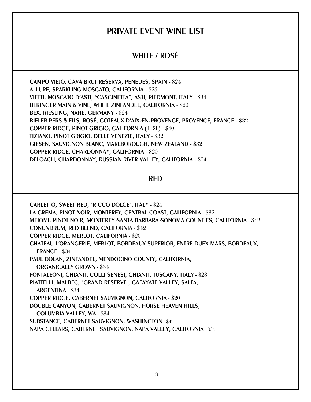### PRIVATE EVENT WINE LIST

### WHITE / ROSÉ

CAMPO VIEJO, CAVA BRUT RESERVA, PENEDES, SPAIN - \$24 ALLURE, SPARKLING MOSCATO, CALIFORNIA - \$25 VIETTI, MOSCATO D'ASTI, "CASCINETTA", ASTI, PIEDMONT, ITALY - \$34 BERINGER MAIN & VINE, WHITE ZINFANDEL, CALIFORNIA - \$20 BEX, RIESLING, NAHE, GERMANY - \$24 BIELER PERS & FILS, ROSÉ, COTEAUX D'AIX-EN-PROVENCE, PROVENCE, FRANCE - \$32 COPPER RIDGE, PINOT GRIGIO, CALIFORNIA (1.5L) - \$40 TIZIANO, PINOT GRIGIO, DELLE VENEZIE, ITALY - \$32 GIESEN, SAUVIGNON BLANC, MARLBOROUGH, NEW ZEALAND - \$32 COPPER RIDGE, CHARDONNAY, CALIFORNIA - \$20 DELOACH, CHARDONNAY, RUSSIAN RIVER VALLEY, CALIFORNIA - \$34

RED

CARLETTO, SWEET RED, "RICCO DOLCE", ITALY - \$24 LA CREMA, PINOT NOIR, MONTEREY, CENTRAL COAST, CALIFORNIA - \$32 MEIOMI, PINOT NOIR, MONTEREY-SANTA BARBARA-SONOMA COUNTIES, CALIFORNIA - \$42 CONUNDRUM, RED BLEND, CALIFORNIA - \$42 COPPER RIDGE, MERLOT, CALIFORNIA - \$20 CHATEAU L'ORANGERIE, MERLOT, BORDEAUX SUPERIOR, ENTRE DUEX MARS, BORDEAUX, FRANCE - \$34 PAUL DOLAN, ZINFANDEL, MENDOCINO COUNTY, CALIFORNIA, ORGANICALLY GROWN - \$34 FONTALEONI, CHIANTI, COLLI SENESI, CHIANTI, TUSCANY, ITALY - \$28 PIATTELLI, MALBEC, "GRAND RESERVE", CAFAYATE VALLEY, SALTA, ARGENTINA - \$34 COPPER RIDGE, CABERNET SAUVIGNON, CALIFORNIA - \$20 DOUBLE CANYON, CABERNET SAUVIGNON, HORSE HEAVEN HILLS, COLUMBIA VALLEY, WA - \$34 SUBSTANCE, CABERNET SAUVIGNON, WASHINGTON - \$42 NAPA CELLARS, CABERNET SAUVIGNON, NAPA VALLEY, CALIFORNIA - \$54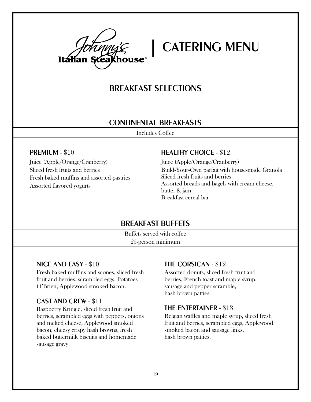

### BREAKFAST SELECTIONS

#### CONTINENTAL BREAKFASTS

Includes Coffee

#### PREMIUM - \$10

Juice (Apple/Orange/Cranberry) Sliced fresh fruits and berries Fresh baked muffins and assorted pastries Assorted flavored yogurts

#### HEALTHY CHOICE - \$12

Juice (Apple/Orange/Cranberry) Build-Your-Own parfait with house-made Granola Sliced fresh fruits and berries Assorted breads and bagels with cream cheese, butter & jam Breakfast cereal bar

#### BREAKFAST BUFFETS

Buffets served with coffee 25-person minimum

#### NICE AND EASY - \$10

Fresh baked muffins and scones, sliced fresh fruit and berries, scrambled eggs, Potatoes O'Brien, Applewood smoked bacon.

#### CAST AND CREW - \$11

Raspberry Kringle, sliced fresh fruit and berries, scrambled eggs with peppers, onions and melted cheese, Applewood smoked bacon, cheesy crispy hash browns, fresh baked buttermilk biscuits and homemade sausage gravy.

#### THE CORSICAN - \$12

Assorted donuts, sliced fresh fruit and berries, French toast and maple syrup, sausage and pepper scramble, hash brown patties.

#### THE ENTERTAINER - \$13

Belgian waffles and maple syrup, sliced fresh fruit and berries, scrambled eggs, Applewood smoked bacon and sausage links, hash brown patties.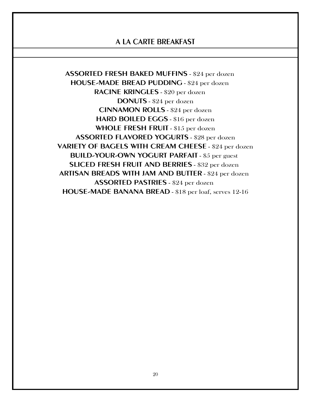### A LA CARTE BREAKFAST

ASSORTED FRESH BAKED MUFFINS - \$24 per dozen HOUSE-MADE BREAD PUDDING - \$24 per dozen RACINE KRINGLES - \$20 per dozen DONUTS - \$24 per dozen CINNAMON ROLLS - \$24 per dozen HARD BOILED EGGS - \$16 per dozen WHOLE FRESH FRUIT - \$15 per dozen ASSORTED FLAVORED YOGURTS - \$28 per dozen VARIETY OF BAGELS WITH CREAM CHEESE - \$24 per dozen BUILD-YOUR-OWN YOGURT PARFAIT - \$5 per guest SLICED FRESH FRUIT AND BERRIES - \$32 per dozen ARTISAN BREADS WITH JAM AND BUTTER - \$24 per dozen ASSORTED PASTRIES - \$24 per dozen HOUSE-MADE BANANA BREAD - \$18 per loaf, serves 12-16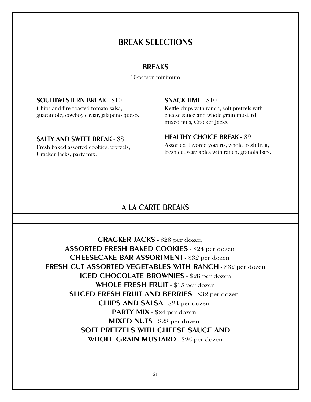### BREAK SELECTIONS

#### **BREAKS**

10-person minimum

#### SOUTHWESTERN BREAK - \$10

Chips and fire roasted tomato salsa, guacamole, cowboy caviar, jalapeno queso.

#### SALTY AND SWEET BREAK - \$8

Fresh baked assorted cookies, pretzels, Cracker Jacks, party mix.

#### SNACK TIME - \$10

Kettle chips with ranch, soft pretzels with cheese sauce and whole grain mustard, mixed nuts, Cracker Jacks.

#### HEALTHY CHOICE BREAK - \$9

Assorted flavored yogurts, whole fresh fruit, fresh cut vegetables with ranch, granola bars.

#### A LA CARTE BREAKS

CRACKER JACKS - \$28 per dozen ASSORTED FRESH BAKED COOKIES - \$24 per dozen CHEESECAKE BAR ASSORTMENT - \$32 per dozen FRESH CUT ASSORTED VEGETABLES WITH RANCH - \$32 per dozen ICED CHOCOLATE BROWNIES - \$28 per dozen WHOLE FRESH FRUIT - \$15 per dozen SLICED FRESH FRUIT AND BERRIES - \$32 per dozen CHIPS AND SALSA - \$24 per dozen PARTY MIX - \$24 per dozen MIXED NUTS - \$28 per dozen SOFT PRETZELS WITH CHEESE SAUCE AND WHOLE GRAIN MUSTARD - \$26 per dozen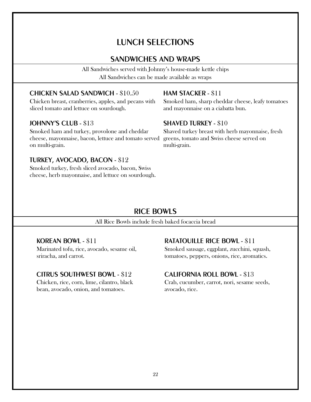### LUNCH SELECTIONS

### SANDWICHES AND WRAPS

All Sandwiches served with Johnny's house-made kettle chips All Sandwiches can be made available as wraps

#### CHICKEN SALAD SANDWICH - \$10.50

Chicken breast, cranberries, apples, and pecans with sliced tomato and lettuce on sourdough.

#### JOHNNY'S CLUB - \$13

Smoked ham and turkey, provolone and cheddar cheese, mayonnaise, bacon, lettuce and tomato served on multi-grain.

#### TURKEY, AVOCADO, BACON - \$12

Smoked turkey, fresh sliced avocado, bacon, Swiss cheese, herb mayonnaise, and lettuce on sourdough.

#### HAM STACKER - \$11

Smoked ham, sharp cheddar cheese, leafy tomatoes and mayonnaise on a ciabatta bun.

#### SHAVED TURKEY - \$10

Shaved turkey breast with herb mayonnaise, fresh greens, tomato and Swiss cheese served on multi-grain.

### RICE BOWLS

All Rice Bowls include fresh baked focaccia bread

#### KOREAN BOWL - \$11

Marinated tofu, rice, avocado, sesame oil, sriracha, and carrot.

#### CITRUS SOUTHWEST BOWL - \$12

Chicken, rice, corn, lime, cilantro, black bean, avocado, onion, and tomatoes.

#### RATATOUILLE RICE BOWL - \$11

Smoked sausage, eggplant, zucchini, squash, tomatoes, peppers, onions, rice, aromatics.

#### CALIFORNIA ROLL BOWL - \$13

Crab, cucumber, carrot, nori, sesame seeds, avocado, rice.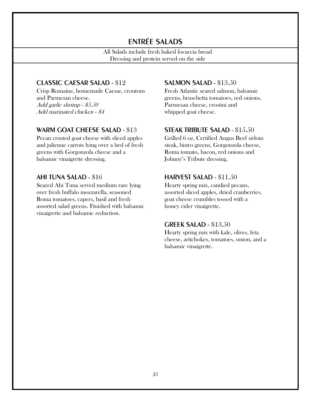### ENTRÉE SALADS

All Salads include fresh baked focaccia bread Dressing and protein served on the side

#### CLASSIC CAESAR SALAD - \$12

Crisp Romaine, homemade Caesar, croutons and Parmesan cheese. Add garlic shrimp - \$5.50 Add marinated chicken - \$4

#### WARM GOAT CHEESE SALAD - \$13

Pecan crusted goat cheese with sliced apples and julienne carrots lying over a bed of fresh greens with Gorgonzola cheese and a balsamic vinaigrette dressing.

#### AHI TUNA SALAD - \$16

Seared Ahi Tuna served medium rare lying over fresh buffalo mozzarella, seasoned Roma tomatoes, capers, basil and fresh assorted salad greens. Finished with balsamic vinaigrette and balsamic reduction.

#### SALMON SALAD - \$13.50

Fresh Atlantic seared salmon, balsamic greens, bruschetta tomatoes, red onions, Parmesan cheese, crostini and whipped goat cheese.

#### STEAK TRIBUTE SALAD - \$15.50

Grilled 6 oz. Certified Angus Beef sirloin steak, bistro greens, Gorgonzola cheese, Roma tomato, bacon, red onions and Johnny's Tribute dressing.

#### HARVEST SALAD - \$11.50

Hearty spring mix, candied pecans, assorted sliced apples, dried cranberries, goat cheese crumbles tossed with a honey cider vinaigrette.

#### GREEK SALAD - \$13.50

Hearty spring mix with kale, olives, feta cheese, artichokes, tomatoes, onion, and a balsamic vinaigrette.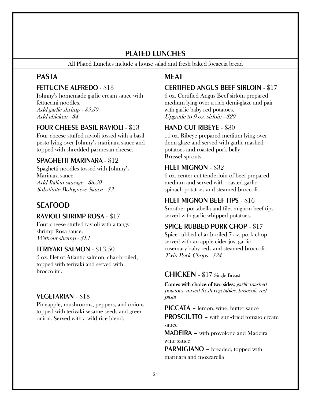### PLATED LUNCHES

All Plated Lunches include a house salad and fresh baked focaccia bread

#### PASTA

#### FETTUCINE ALFREDO - \$13

Johnny's homemade garlic cream sauce with fettuccini noodles. Add garlic shrimp - \$5.50 Add chicken - \$4

#### FOUR CHEESE BASIL RAVIOLI - \$13

Four cheese stuffed ravioli tossed with a basil pesto lying over Johnny's marinara sauce and topped with shredded parmesan cheese.

#### SPAGHETTI MARINARA - \$12

Spaghetti noodles tossed with Johnny's Marinara sauce. Add Italian sausage - \$3.50 Substitute Bolognese Sauce - \$3

#### SEAFOOD

#### RAVIOLI SHRIMP ROSA - \$17

Four cheese stuffed ravioli with a tangy shrimp Rosa sauce. Without shrimp -  $$13$ 

#### TERIYAKI SALMON - \$13.50

5 oz. filet of Atlantic salmon, char-broiled, topped with teriyaki and served with broccolini.

#### VEGETARIAN - \$18

Pineapple, mushrooms, peppers, and onions topped with teriyaki sesame seeds and green onion. Served with a wild rice blend.

#### MEAT

#### CERTIFIED ANGUS BEEF SIRLOIN - \$17

6 oz. Certified Angus Beef sirloin prepared medium lying over a rich demi-glaze and pair with garlic baby red potatoes. Upgrade to 9 oz. sirloin - \$20

#### HAND CUT RIBEYE - \$30

11 oz. Ribeye prepared medium lying over demi-glaze and served with garlic mashed potatoes and roasted pork belly Brussel sprouts.

#### FILET MIGNON - \$32

6 oz. center cut tenderloin of beef prepared medium and served with roasted garlic spinach potatoes and steamed broccoli.

#### FILET MIGNON BEEF TIPS - \$16

Smother portabella and filet mignon beef tips served with garlic whipped potatoes.

#### SPICE RUBBED PORK CHOP - \$17

Spice rubbed char-broiled 7 oz. pork chop served with an apple cider jus, garlic rosemary baby reds and steamed broccoli. Twin Pork Chops - \$24

#### CHICKEN - \$17 Single Breast

Comes with choice of two sides: garlic mashed potatoes, mixed fresh vegetables, broccoli, red pasta

PICCATA – lemon, wine, butter sauce

PROSCIUTTO – with sun-dried tomato cream sauce

MADEIRA – with provolone and Madeira wine sauce

PARMIGIANO - breaded, topped with marinara and mozzarella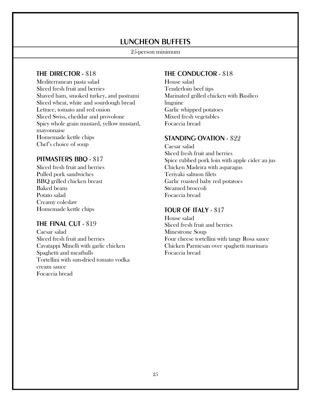### LUNCHEON BUFFETS

#### 25-person minimum

#### THE DIRECTOR - \$18

Mediterranean pasta salad Sliced fresh fruit and berries Shaved ham, smoked turkey, and pastrami Sliced wheat, white and sourdough bread Lettuce, tomato and red onion Sliced Swiss, cheddar and provolone Spicy whole grain mustard, yellow mustard, mayonnaise Homemade kettle chips Chef's choice of soup

#### PITMASTERS BBQ - \$17

Sliced fresh fruit and berries Pulled pork sandwiches BBQ grilled chicken breast Baked beans Potato salad Creamy coleslaw Homemade kettle chips

#### THE FINAL CUT - \$19

Caesar salad Sliced fresh fruit and berries Cavatappi Minelli with garlic chicken Spaghetti and meatballs Tortellini with sun-dried tomato vodka cream sauce Focaccia bread

#### THE CONDUCTOR - \$18

House salad Tenderloin beef tips Marinated grilled chicken with Basilico linguine Garlic whipped potatoes Mixed fresh vegetables Focaccia bread

#### STANDING OVATION - \$22

Caesar salad Sliced fresh fruit and berries Spice rubbed pork loin with apple cider au jus Chicken Madeira with asparagus Teriyaki salmon filets Garlic roasted baby red potatoes Steamed broccoli Focaccia bread

#### TOUR OF ITALY - \$17

House salad Sliced fresh fruit and berries Minestrone Soup Four cheese tortellini with tangy Rosa sauce Chicken Parmesan over spaghetti marinara Focaccia bread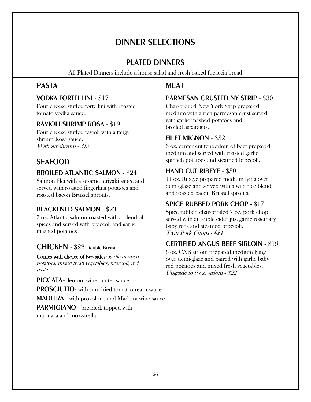### DINNER SELECTIONS

#### PLATED DINNERS

All Plated Dinners include a house salad and fresh baked focaccia bread

### PASTA

#### VODKA TORTELLINI - \$17

Four cheese stuffed tortellini with roasted tomato vodka sauce.

#### RAVIOLI SHRIMP ROSA - \$19

Four cheese stuffed ravioli with a tangy shrimp Rosa sauce. Without shrimp -  $\$15$ 

### SEAFOOD

#### BROILED ATLANTIC SALMON - \$24

Salmon filet with a sesame teriyaki sauce and served with roasted fingerling potatoes and roasted bacon Brussel sprouts.

#### BLACKENED SALMON - \$23

7 oz. Atlantic salmon roasted with a blend of spices and served with broccoli and garlic mashed potatoes

### CHICKEN - \$22 Double Breast

Comes with choice of two sides: garlic mashed potatoes, mixed fresh vegetables, broccoli, red pasta

PICCATA– lemon, wine, butter sauce PROSCIUTTO- with sun-dried tomato cream sauce MADEIRA– with provolone and Madeira wine sauce

PARMIGIANO– breaded, topped with

marinara and mozzarella

### **MFAT**

#### PARMESAN CRUSTED NY STRIP - \$30

Char-broiled New York Strip prepared medium with a rich parmesan crust served with garlic mashed potatoes and broiled asparagus.

#### FILET MIGNON - \$32

6 oz. center cut tenderloin of beef prepared medium and served with roasted garlic spinach potatoes and steamed broccoli.

#### HAND CUT RIBEYE - \$30

11 oz. Ribeye prepared medium lying over demi-glaze and served with a wild rice blend and roasted bacon Brussel sprouts.

### SPICE RUBBED PORK CHOP - \$17

Spice rubbed char-broiled 7 oz. pork chop served with an apple cider jus, garlic rosemary baby reds and steamed broccoli. Twin Pork Chops - \$24

#### CERTIFIED ANGUS BEEF SIRLOIN - \$19

6 oz. CAB sirloin prepared medium lying over demi-glaze and paired with garlic baby red potatoes and mixed fresh vegetables. Upgrade to 9 oz. sirloin - \$22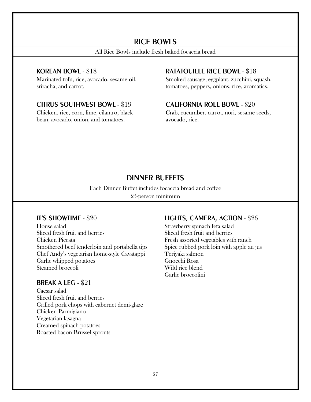#### RICE BOWLS

All Rice Bowls include fresh baked focaccia bread

#### KOREAN BOWL - \$18

Marinated tofu, rice, avocado, sesame oil, sriracha, and carrot.

#### CITRUS SOUTHWEST BOWL - \$19

Chicken, rice, corn, lime, cilantro, black bean, avocado, onion, and tomatoes.

#### RATATOUILLE RICE BOWL - \$18

Smoked sausage, eggplant, zucchini, squash, tomatoes, peppers, onions, rice, aromatics.

#### CALIFORNIA ROLL BOWL - \$20

Crab, cucumber, carrot, nori, sesame seeds, avocado, rice.

#### DINNER BUFFETS

Each Dinner Buffet includes focaccia bread and coffee

25-person minimum

#### IT'S SHOWTIME - \$20

House salad Sliced fresh fruit and berries Chicken Piccata Smothered beef tenderloin and portabella tips Chef Andy's vegetarian home-style Cavatappi Garlic whipped potatoes Steamed broccoli

#### BREAK A LEG - \$21

Caesar salad Sliced fresh fruit and berries Grilled pork chops with cabernet demi-glaze Chicken Parmigiano Vegetarian lasagna Creamed spinach potatoes Roasted bacon Brussel sprouts

#### LIGHTS, CAMERA, ACTION - \$26

Strawberry spinach feta salad Sliced fresh fruit and berries Fresh assorted vegetables with ranch Spice rubbed pork loin with apple au jus Teriyaki salmon Gnocchi Rosa Wild rice blend Garlic broccolini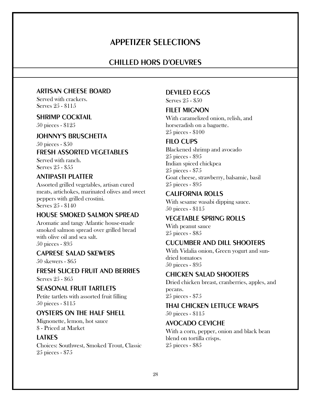### APPETIZER SELECTIONS

#### CHILLED HORS D'OEUVRES

#### ARTISAN CHEESE BOARD

Served with crackers. Serves 25 - \$115

#### SHRIMP COCKTAIL

50 pieces - \$125

#### JOHNNY'S BRUSCHETTA

50 pieces - \$50

#### FRESH ASSORTED VEGETABLES

Served with ranch. Serves 25 - \$55

#### ANTIPASTI PLATTER

Assorted grilled vegetables, artisan cured meats, artichokes, marinated olives and sweet peppers with grilled crostini. Serves 25 - \$140

#### HOUSE SMOKED SALMON SPREAD

Aromatic and tangy Atlantic house-made smoked salmon spread over grilled bread with olive oil and sea salt. 50 pieces - \$95

#### CAPRESE SALAD SKEWERS

50 skewers - \$65

#### FRESH SLICED FRUIT AND BERRIES Serves 25 - \$65

SEASONAL FRUIT TARTLETS

Petite tartlets with assorted fruit filling 50 pieces - \$115

#### OYSTERS ON THE HALF SHELL

Mignonette, lemon, hot sauce \$ - Priced at Market

#### LATKES

Choices: Southwest, Smoked Trout, Classic 25 pieces - \$75

#### DEVILED EGGS

Serves 25 - \$50

#### **FILET MIGNON**

With caramelized onion, relish, and horseradish on a baguette. 25 pieces - \$100

#### FILO CUPS

Blackened shrimp and avocado 25 pieces - \$95 Indian spiced chickpea 25 pieces - \$75 Goat cheese, strawberry, balsamic, basil 25 pieces - \$95

#### CALIFORNIA ROLLS

With sesame wasabi dipping sauce. 50 pieces - \$115

#### VEGETABLE SPRING ROLLS

With peanut sauce 25 pieces - \$85

#### CUCUMBER AND DILL SHOOTERS

With Vidalia onion, Green yogurt and sundried tomatoes 50 pieces - \$95

#### CHICKEN SALAD SHOOTERS

Dried chicken breast, cranberries, apples, and pecans. 25 pieces - \$75

#### THAI CHICKEN LETTUCE WRAPS

50 pieces - \$115

#### AVOCADO CEVICHE

With a corn, pepper, onion and black bean blend on tortilla crisps. 25 pieces - \$85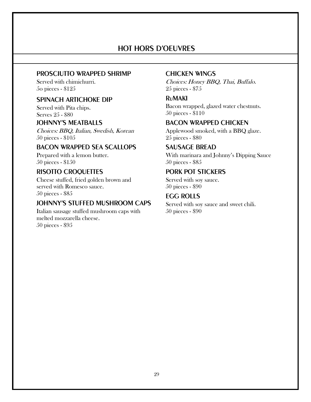### HOT HORS D'OEUVRES

#### PROSCIUTTO WRAPPED SHRIMP

Served with chimichurri. 5o pieces - \$125

#### SPINACH ARTICHOKE DIP

Served with Pita chips. Serves 25 - \$80

#### JOHNNY'S MEATBALLS

Choices: BBQ, Italian, Swedish, Korean 50 pieces - \$105

#### BACON WRAPPED SEA SCALLOPS

Prepared with a lemon butter. 50 pieces - \$150

#### RISOTTO CROQUETTES

Cheese stuffed, fried golden brown and served with Romesco sauce. 50 pieces - \$85

#### JOHNNY'S STUFFED MUSHROOM CAPS

Italian sausage stuffed mushroom caps with melted mozzarella cheese. 50 pieces - \$95

#### CHICKEN WINGS

Choices: Honey BBQ, Thai, Buffalo. 25 pieces - \$75

#### RuMAKI

Bacon wrapped, glazed water chestnuts. 50 pieces - \$110

#### BACON WRAPPED CHICKEN

Applewood smoked, with a BBQ glaze. 25 pieces - \$80

#### SAUSAGE BREAD

With marinara and Johnny's Dipping Sauce 50 pieces - \$85

#### PORK POT STICKERS

Served with soy sauce. 50 pieces - \$90

#### EGG ROLLS

Served with soy sauce and sweet chili. 50 pieces - \$90